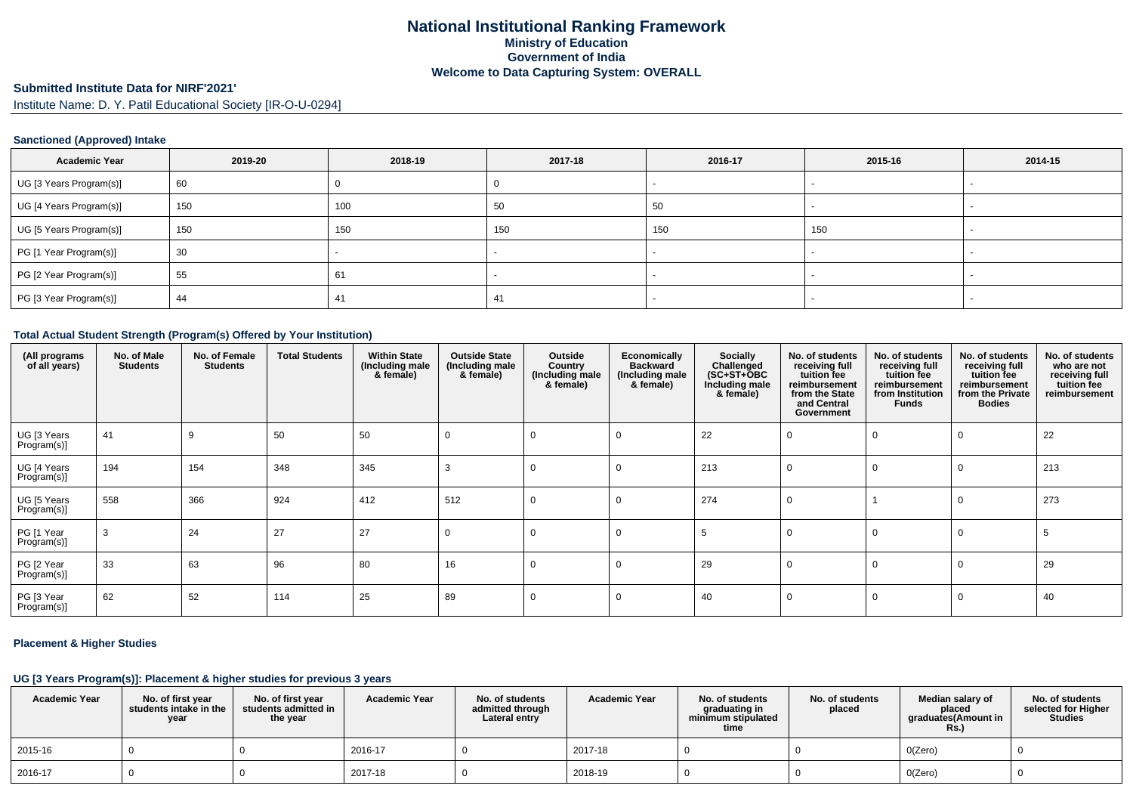## **Submitted Institute Data for NIRF'2021'**

Institute Name: D. Y. Patil Educational Society [IR-O-U-0294]

#### **Sanctioned (Approved) Intake**

| <b>Academic Year</b>    | 2019-20 | 2018-19 | 2017-18 | 2016-17 | 2015-16 | 2014-15 |
|-------------------------|---------|---------|---------|---------|---------|---------|
| UG [3 Years Program(s)] | 60      |         |         |         |         |         |
| UG [4 Years Program(s)] | 150     | 100     | 50      | 50      |         |         |
| UG [5 Years Program(s)] | 150     | 150     | 150     | 150     | 150     |         |
| PG [1 Year Program(s)]  | 30      |         |         |         |         |         |
| PG [2 Year Program(s)]  | 55      | 61      |         |         |         |         |
| PG [3 Year Program(s)]  | 44      | 41      | 41      |         |         |         |

#### **Total Actual Student Strength (Program(s) Offered by Your Institution)**

| (All programs<br>of all years) | No. of Male<br><b>Students</b> | No. of Female<br><b>Students</b> | <b>Total Students</b> | <b>Within State</b><br>(Including male<br>& female) | <b>Outside State</b><br>(Including male<br>& female) | Outside<br>Country<br>(Including male<br>& female) | Economically<br><b>Backward</b><br>(Including male<br>& female) | Socially<br>Challenged<br>$(SC+ST+\text{O}BC)$<br>Including male<br>& female) | No. of students<br>receiving full<br>tuition fee<br>reimbursement<br>from the State<br>and Central<br>Government | No. of students<br>receiving full<br>tuition fee<br>reimbursement<br>from Institution<br><b>Funds</b> | No. of students<br>receiving full<br>tuition fee<br>reimbursement<br>from the Private<br><b>Bodies</b> | No. of students<br>who are not<br>receiving full<br>tuition fee<br>reimbursement |
|--------------------------------|--------------------------------|----------------------------------|-----------------------|-----------------------------------------------------|------------------------------------------------------|----------------------------------------------------|-----------------------------------------------------------------|-------------------------------------------------------------------------------|------------------------------------------------------------------------------------------------------------------|-------------------------------------------------------------------------------------------------------|--------------------------------------------------------------------------------------------------------|----------------------------------------------------------------------------------|
| UG [3 Years<br>Program(s)]     | 41                             | 9                                | 50                    | 50                                                  | 0                                                    | 0                                                  | $\Omega$                                                        | 22                                                                            |                                                                                                                  |                                                                                                       |                                                                                                        | 22                                                                               |
| UG [4 Years<br>Program(s)]     | 194                            | 154                              | 348                   | 345                                                 | 3                                                    | $\Omega$                                           | $\Omega$                                                        | 213                                                                           |                                                                                                                  |                                                                                                       |                                                                                                        | 213                                                                              |
| UG [5 Years<br>Program(s)]     | 558                            | 366                              | 924                   | 412                                                 | 512                                                  | $\Omega$                                           | $\Omega$                                                        | 274                                                                           |                                                                                                                  |                                                                                                       |                                                                                                        | 273                                                                              |
| PG [1 Year<br>Program(s)]      | 3                              | 24                               | 27                    | 27                                                  | 0                                                    | $\mathbf 0$                                        | $\mathbf 0$                                                     | 5                                                                             |                                                                                                                  |                                                                                                       |                                                                                                        | -5                                                                               |
| PG [2 Year<br>Program(s)]      | 33                             | 63                               | 96                    | 80                                                  | 16                                                   | $\Omega$                                           | $\Omega$                                                        | 29                                                                            |                                                                                                                  |                                                                                                       |                                                                                                        | 29                                                                               |
| PG [3 Year<br>Program(s)]      | 62                             | 52                               | 114                   | 25                                                  | 89                                                   | 0                                                  | $\Omega$                                                        | 40                                                                            |                                                                                                                  |                                                                                                       | 0                                                                                                      | 40                                                                               |

#### **Placement & Higher Studies**

# **UG [3 Years Program(s)]: Placement & higher studies for previous 3 years**

| <b>Academic Year</b> | No. of first vear<br>students intake in the<br>year | No. of first year<br>students admitted in<br>the year | <b>Academic Year</b> | No. of students<br>admitted through<br>Lateral entry | <b>Academic Year</b> | No. of students<br>graduating in<br>minimum stipulated<br>time | No. of students<br>placed | Median salary of<br>placed<br>araduates(Amount in<br>Rs.) | No. of students<br>selected for Higher<br><b>Studies</b> |
|----------------------|-----------------------------------------------------|-------------------------------------------------------|----------------------|------------------------------------------------------|----------------------|----------------------------------------------------------------|---------------------------|-----------------------------------------------------------|----------------------------------------------------------|
| 2015-16              |                                                     |                                                       | 2016-17              |                                                      | 2017-18              |                                                                |                           | O(Zero)                                                   |                                                          |
| 2016-17              |                                                     |                                                       | 2017-18              |                                                      | 2018-19              |                                                                |                           | O(Zero)                                                   |                                                          |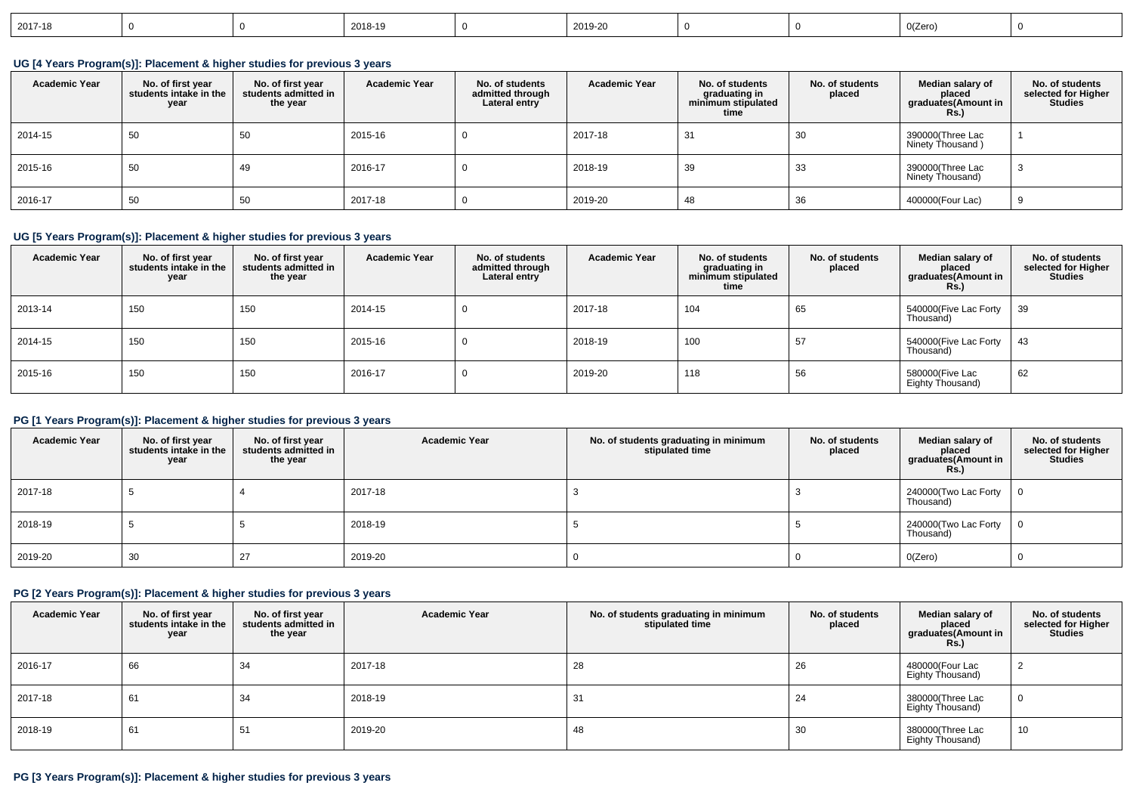| 2017-18 |  |  | 2018-19 |  | 2019-20 |  |  | 0(Zero) |  |
|---------|--|--|---------|--|---------|--|--|---------|--|
|---------|--|--|---------|--|---------|--|--|---------|--|

**UG [4 Years Program(s)]: Placement & higher studies for previous 3 years**

| <b>Academic Year</b> | No. of first year<br>students intake in the<br>year | No. of first vear<br>students admitted in<br>the year | <b>Academic Year</b> | No. of students<br>admitted through<br>Lateral entry | <b>Academic Year</b> | No. of students<br>graduating in<br>minimum stipulated<br>time | No. of students<br>placed | Median salary of<br>placed<br>graduates(Amount in<br>Rs.) | No. of students<br>selected for Higher<br><b>Studies</b> |
|----------------------|-----------------------------------------------------|-------------------------------------------------------|----------------------|------------------------------------------------------|----------------------|----------------------------------------------------------------|---------------------------|-----------------------------------------------------------|----------------------------------------------------------|
| 2014-15              | 50                                                  | 50                                                    | 2015-16              | U                                                    | 2017-18              | -31                                                            | 30                        | 390000(Three Lac<br>Ninety Thousand)                      |                                                          |
| 2015-16              | 50                                                  | 49                                                    | 2016-17              | u                                                    | 2018-19              | 39                                                             | 33                        | 390000(Three Lac<br>Ninety Thousand)                      | -3                                                       |
| 2016-17              | 50                                                  | 50                                                    | 2017-18              | υ                                                    | 2019-20              | -48                                                            | 36                        | 400000(Four Lac)                                          | 9                                                        |

## **UG [5 Years Program(s)]: Placement & higher studies for previous 3 years**

| <b>Academic Year</b> | No. of first year<br>students intake in the<br>year | No. of first year<br>students admitted in<br>the year | <b>Academic Year</b> | No. of students<br>admitted through<br>Lateral entry | <b>Academic Year</b> | No. of students<br>graduating in<br>minimum stipulated<br>time | No. of students<br>placed | Median salary of<br>placed<br>graduates(Amount in<br>Rs.) | No. of students<br>selected for Higher<br><b>Studies</b> |
|----------------------|-----------------------------------------------------|-------------------------------------------------------|----------------------|------------------------------------------------------|----------------------|----------------------------------------------------------------|---------------------------|-----------------------------------------------------------|----------------------------------------------------------|
| 2013-14              | 150                                                 | 150                                                   | 2014-15              |                                                      | 2017-18              | 104                                                            | 65                        | 540000(Five Lac Forty<br>Thousand)                        | 39                                                       |
| 2014-15              | 150                                                 | 150                                                   | 2015-16              | υ                                                    | 2018-19              | 100                                                            | 57                        | 540000(Five Lac Forty<br>Thousand)                        | 43                                                       |
| 2015-16              | 150                                                 | 150                                                   | 2016-17              | υ                                                    | 2019-20              | 118                                                            | 56                        | 580000(Five Lac<br>Eighty Thousand)                       | 62                                                       |

# **PG [1 Years Program(s)]: Placement & higher studies for previous 3 years**

| <b>Academic Year</b> | No. of first year<br>students intake in the<br>year | No. of first year<br>students admitted in<br>the year | <b>Academic Year</b> | No. of students graduating in minimum<br>stipulated time | No. of students<br>placed | Median salary of<br>placed<br>graduates(Amount in<br><b>Rs.)</b> | No. of students<br>selected for Higher<br><b>Studies</b> |
|----------------------|-----------------------------------------------------|-------------------------------------------------------|----------------------|----------------------------------------------------------|---------------------------|------------------------------------------------------------------|----------------------------------------------------------|
| 2017-18              |                                                     |                                                       | 2017-18              |                                                          |                           | 240000(Two Lac Forty<br>Thousand)                                |                                                          |
| 2018-19              |                                                     |                                                       | 2018-19              |                                                          |                           | 240000(Two Lac Forty<br>Thousand)                                | 0                                                        |
| 2019-20              | 30                                                  |                                                       | 2019-20              |                                                          |                           | O(Zero)                                                          |                                                          |

# **PG [2 Years Program(s)]: Placement & higher studies for previous 3 years**

| <b>Academic Year</b> | No. of first year<br>students intake in the<br>year | No. of first year<br>students admitted in<br>the year | <b>Academic Year</b> | No. of students graduating in minimum<br>stipulated time | No. of students<br>placed | Median salary of<br>placed<br>graduates(Amount in<br><b>Rs.)</b> | No. of students<br>selected for Higher<br><b>Studies</b> |
|----------------------|-----------------------------------------------------|-------------------------------------------------------|----------------------|----------------------------------------------------------|---------------------------|------------------------------------------------------------------|----------------------------------------------------------|
| 2016-17              | 66                                                  | 34                                                    | 2017-18              | 28                                                       | 26                        | 480000(Four Lac<br>Eighty Thousand)                              | ∠                                                        |
| 2017-18              | 61                                                  | 34                                                    | 2018-19              | 31                                                       | 24                        | 380000(Three Lac<br>Eighty Thousand)                             | U                                                        |
| 2018-19              | 61                                                  | 51                                                    | 2019-20              | 48                                                       | 30                        | 380000(Three Lac<br>Eighty Thousand)                             | 10                                                       |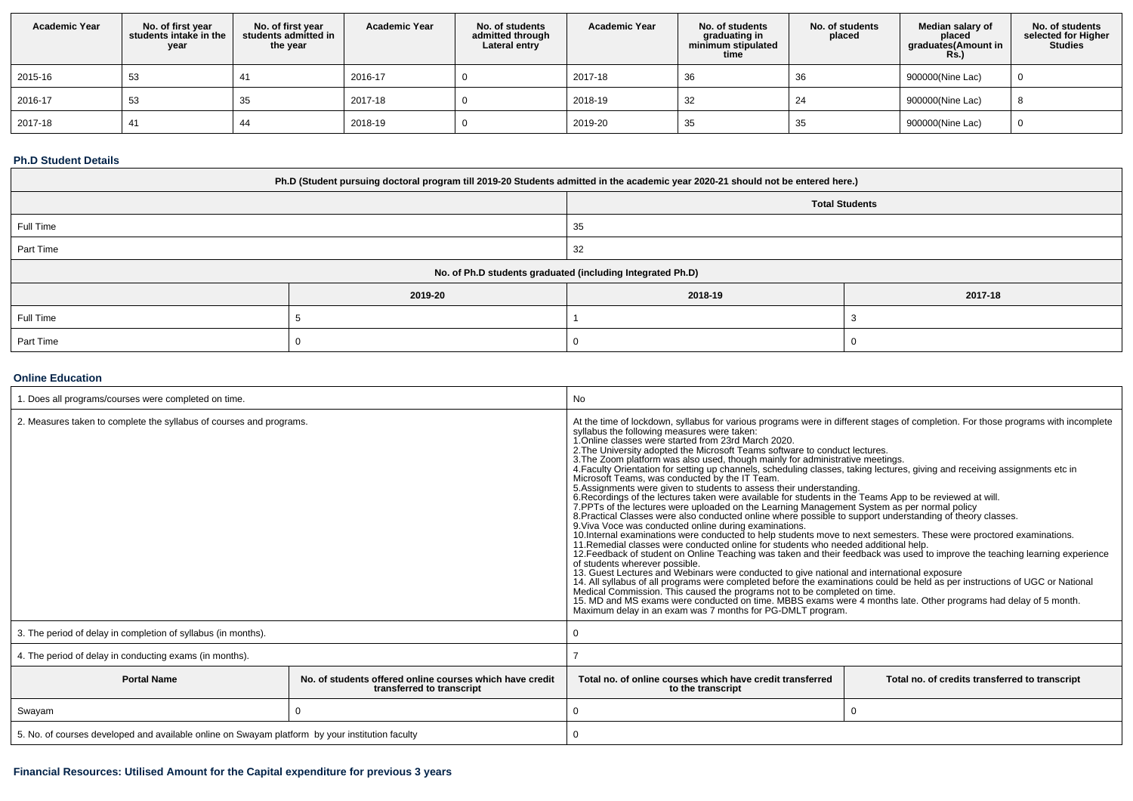| <b>Academic Year</b> | No. of first year<br>students intake in the<br>year | No. of first year<br>students admitted in<br>the year | <b>Academic Year</b> | No. of students<br>admitted through<br>Lateral entry | <b>Academic Year</b> | No. of students<br>graduating in<br>minimum stipulated<br>time | No. of students<br>placed | Median salary of<br>placed<br>graduates(Amount in<br><b>Rs.)</b> | No. of students<br>selected for Higher<br><b>Studies</b> |
|----------------------|-----------------------------------------------------|-------------------------------------------------------|----------------------|------------------------------------------------------|----------------------|----------------------------------------------------------------|---------------------------|------------------------------------------------------------------|----------------------------------------------------------|
| 2015-16              | 53                                                  |                                                       | 2016-17              |                                                      | 2017-18              | 36                                                             | 36                        | 900000(Nine Lac)                                                 |                                                          |
| 2016-17              | 53                                                  | 35                                                    | 2017-18              |                                                      | 2018-19              | 32                                                             |                           | 900000(Nine Lac)                                                 |                                                          |
| 2017-18              |                                                     | 44                                                    | 2018-19              |                                                      | 2019-20              | 35                                                             | -35                       | 900000(Nine Lac)                                                 |                                                          |

#### **Ph.D Student Details**

| Ph.D (Student pursuing doctoral program till 2019-20 Students admitted in the academic year 2020-21 should not be entered here.) |         |                                                            |         |  |  |  |  |
|----------------------------------------------------------------------------------------------------------------------------------|---------|------------------------------------------------------------|---------|--|--|--|--|
| <b>Total Students</b>                                                                                                            |         |                                                            |         |  |  |  |  |
| Full Time<br>35                                                                                                                  |         |                                                            |         |  |  |  |  |
| Part Time                                                                                                                        |         | 32                                                         |         |  |  |  |  |
|                                                                                                                                  |         | No. of Ph.D students graduated (including Integrated Ph.D) |         |  |  |  |  |
|                                                                                                                                  | 2019-20 | 2018-19                                                    | 2017-18 |  |  |  |  |
| Full Time                                                                                                                        |         |                                                            |         |  |  |  |  |
| Part Time                                                                                                                        |         | υ                                                          |         |  |  |  |  |

## **Online Education**

| 1. Does all programs/courses were completed on time.                                            |                                                                                       | No                                                                                                                                                                                                                                                                                                                                                                                                                                                                                                                                                                                                                                                                                                                                                                                                                                                                                                                                                                                                                                                                                                                                                                                                                                                                                                                                                                                                                                                                                                                                                                                                                                                                                                                                                                                                                                                                                                                                 |  |  |  |
|-------------------------------------------------------------------------------------------------|---------------------------------------------------------------------------------------|------------------------------------------------------------------------------------------------------------------------------------------------------------------------------------------------------------------------------------------------------------------------------------------------------------------------------------------------------------------------------------------------------------------------------------------------------------------------------------------------------------------------------------------------------------------------------------------------------------------------------------------------------------------------------------------------------------------------------------------------------------------------------------------------------------------------------------------------------------------------------------------------------------------------------------------------------------------------------------------------------------------------------------------------------------------------------------------------------------------------------------------------------------------------------------------------------------------------------------------------------------------------------------------------------------------------------------------------------------------------------------------------------------------------------------------------------------------------------------------------------------------------------------------------------------------------------------------------------------------------------------------------------------------------------------------------------------------------------------------------------------------------------------------------------------------------------------------------------------------------------------------------------------------------------------|--|--|--|
| 2. Measures taken to complete the syllabus of courses and programs.                             |                                                                                       | At the time of lockdown, syllabus for various programs were in different stages of completion. For those programs with incomplete<br>syllabus the following measures were taken:<br>1.Online classes were started from 23rd March 2020.<br>2. The University adopted the Microsoft Teams software to conduct lectures.<br>3. The Zoom platform was also used, though mainly for administrative meetings.<br>4. Faculty Orientation for setting up channels, scheduling classes, taking lectures, giving and receiving assignments etc in<br>Microsoft Teams, was conducted by the IT Team.<br>5. Assignments were given to students to assess their understanding.<br>6. Recordings of the lectures taken were available for students in the Teams App to be reviewed at will.<br>7. PPTs of the lectures were uploaded on the Learning Management System as per normal policy<br>8. Practical Classes were also conducted online where possible to support understanding of theory classes.<br>9. Viva Voce was conducted online during examinations.<br>10.Internal examinations were conducted to help students move to next semesters. These were proctored examinations.<br>11. Remedial classes were conducted online for students who needed additional help.<br>12. Feedback of student on Online Teaching was taken and their feedback was used to improve the teaching learning experience<br>of students wherever possible.<br>13. Guest Lectures and Webinars were conducted to give national and international exposure<br>14. All syllabus of all programs were completed before the examinations could be held as per instructions of UGC or National<br>Medical Commission. This caused the programs not to be completed on time.<br>15. MD and MS exams were conducted on time. MBBS exams were 4 months late. Other programs had delay of 5 month.<br>Maximum delay in an exam was 7 months for PG-DMLT program. |  |  |  |
| 3. The period of delay in completion of syllabus (in months).                                   |                                                                                       |                                                                                                                                                                                                                                                                                                                                                                                                                                                                                                                                                                                                                                                                                                                                                                                                                                                                                                                                                                                                                                                                                                                                                                                                                                                                                                                                                                                                                                                                                                                                                                                                                                                                                                                                                                                                                                                                                                                                    |  |  |  |
| 4. The period of delay in conducting exams (in months).                                         |                                                                                       |                                                                                                                                                                                                                                                                                                                                                                                                                                                                                                                                                                                                                                                                                                                                                                                                                                                                                                                                                                                                                                                                                                                                                                                                                                                                                                                                                                                                                                                                                                                                                                                                                                                                                                                                                                                                                                                                                                                                    |  |  |  |
| <b>Portal Name</b>                                                                              | No. of students offered online courses which have credit<br>transferred to transcript | Total no, of online courses which have credit transferred<br>Total no. of credits transferred to transcript<br>to the transcript                                                                                                                                                                                                                                                                                                                                                                                                                                                                                                                                                                                                                                                                                                                                                                                                                                                                                                                                                                                                                                                                                                                                                                                                                                                                                                                                                                                                                                                                                                                                                                                                                                                                                                                                                                                                   |  |  |  |
| Swayam                                                                                          |                                                                                       | $\Omega$                                                                                                                                                                                                                                                                                                                                                                                                                                                                                                                                                                                                                                                                                                                                                                                                                                                                                                                                                                                                                                                                                                                                                                                                                                                                                                                                                                                                                                                                                                                                                                                                                                                                                                                                                                                                                                                                                                                           |  |  |  |
| 5. No. of courses developed and available online on Swayam platform by your institution faculty |                                                                                       |                                                                                                                                                                                                                                                                                                                                                                                                                                                                                                                                                                                                                                                                                                                                                                                                                                                                                                                                                                                                                                                                                                                                                                                                                                                                                                                                                                                                                                                                                                                                                                                                                                                                                                                                                                                                                                                                                                                                    |  |  |  |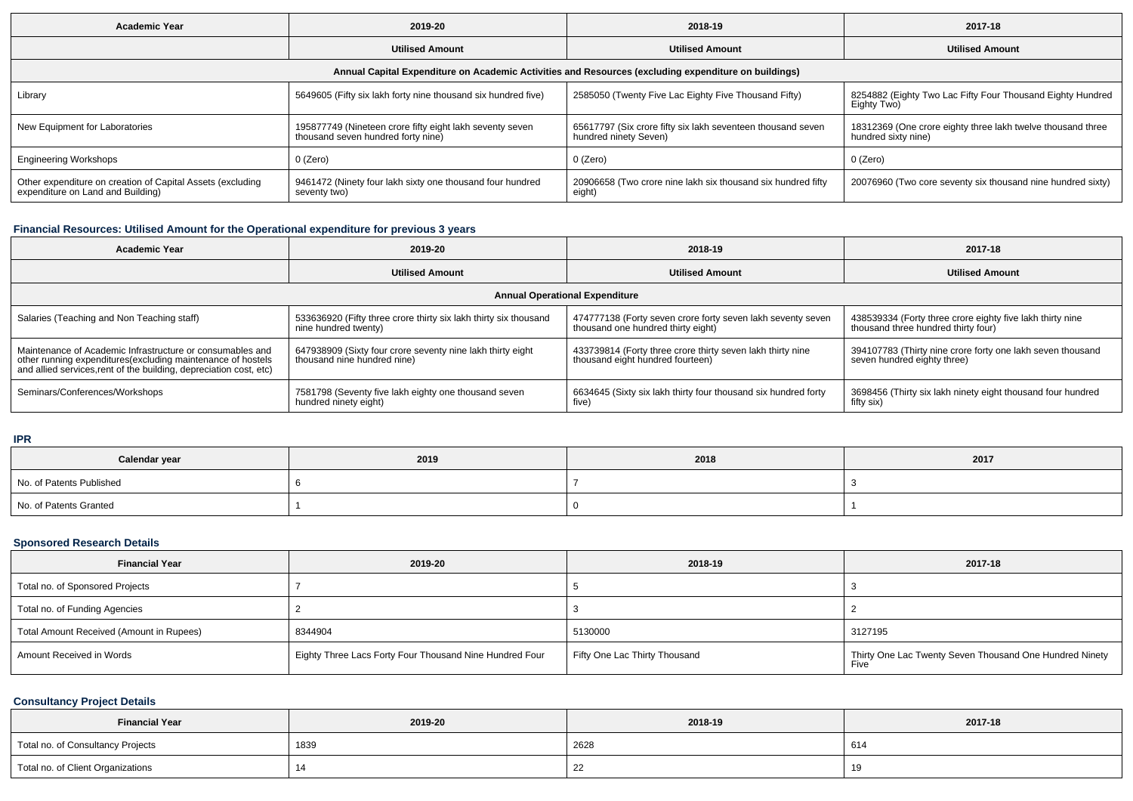| <b>Academic Year</b><br>2019-20                                                                 |                                                                                                | 2018-19                                                                                              | 2017-18                                                                            |  |
|-------------------------------------------------------------------------------------------------|------------------------------------------------------------------------------------------------|------------------------------------------------------------------------------------------------------|------------------------------------------------------------------------------------|--|
|                                                                                                 | <b>Utilised Amount</b>                                                                         | <b>Utilised Amount</b>                                                                               | <b>Utilised Amount</b>                                                             |  |
|                                                                                                 |                                                                                                | Annual Capital Expenditure on Academic Activities and Resources (excluding expenditure on buildings) |                                                                                    |  |
| Library                                                                                         | 5649605 (Fifty six lakh forty nine thousand six hundred five)                                  | 2585050 (Twenty Five Lac Eighty Five Thousand Fifty)                                                 | 8254882 (Eighty Two Lac Fifty Four Thousand Eighty Hundred<br>Eighty Two)          |  |
| New Equipment for Laboratories                                                                  | 195877749 (Nineteen crore fifty eight lakh seventy seven<br>thousand seven hundred forty nine) | 65617797 (Six crore fifty six lakh seventeen thousand seven<br>hundred ninety Seven)                 | 18312369 (One crore eighty three lakh twelve thousand three<br>hundred sixty nine) |  |
| <b>Engineering Workshops</b>                                                                    | 0 (Zero)                                                                                       | 0 (Zero)                                                                                             | 0 (Zero)                                                                           |  |
| Other expenditure on creation of Capital Assets (excluding<br>expenditure on Land and Building) | 9461472 (Ninety four lakh sixty one thousand four hundred<br>seventy two)                      | 20906658 (Two crore nine lakh six thousand six hundred fifty<br>eight)                               | 20076960 (Two core seventy six thousand nine hundred sixty)                        |  |

## **Financial Resources: Utilised Amount for the Operational expenditure for previous 3 years**

| <b>Academic Year</b>                                                                                                                                                                            | 2019-20                                                                                   | 2018-19                                                                                           | 2017-18                                                                                          |  |  |  |  |  |  |
|-------------------------------------------------------------------------------------------------------------------------------------------------------------------------------------------------|-------------------------------------------------------------------------------------------|---------------------------------------------------------------------------------------------------|--------------------------------------------------------------------------------------------------|--|--|--|--|--|--|
|                                                                                                                                                                                                 | <b>Utilised Amount</b>                                                                    | <b>Utilised Amount</b>                                                                            | <b>Utilised Amount</b>                                                                           |  |  |  |  |  |  |
| <b>Annual Operational Expenditure</b>                                                                                                                                                           |                                                                                           |                                                                                                   |                                                                                                  |  |  |  |  |  |  |
| Salaries (Teaching and Non Teaching staff)                                                                                                                                                      | 533636920 (Fifty three crore thirty six lakh thirty six thousand<br>nine hundred twenty)  | 474777138 (Forty seven crore forty seven lakh seventy seven<br>thousand one hundred thirty eight) | 438539334 (Forty three crore eighty five lakh thirty nine<br>thousand three hundred thirty four) |  |  |  |  |  |  |
| Maintenance of Academic Infrastructure or consumables and<br>other running expenditures (excluding maintenance of hostels<br>and allied services, rent of the building, depreciation cost, etc) | 647938909 (Sixty four crore seventy nine lakh thirty eight<br>thousand nine hundred nine) | 433739814 (Forty three crore thirty seven lakh thirty nine<br>thousand eight hundred fourteen)    | 394107783 (Thirty nine crore forty one lakh seven thousand<br>seven hundred eighty three)        |  |  |  |  |  |  |
| Seminars/Conferences/Workshops                                                                                                                                                                  | 7581798 (Seventy five lakh eighty one thousand seven<br>hundred ninety eight)             | 6634645 (Sixty six lakh thirty four thousand six hundred forty<br>five)                           | 3698456 (Thirty six lakh ninety eight thousand four hundred<br>fifty six)                        |  |  |  |  |  |  |

**IPR**

| Calendar year            | 2019 | 2018 | 2017 |
|--------------------------|------|------|------|
| No. of Patents Published |      |      |      |
| No. of Patents Granted   |      |      |      |

## **Sponsored Research Details**

| <b>Financial Year</b>                    | 2019-20                                                 | 2018-19                       | 2017-18                                                         |
|------------------------------------------|---------------------------------------------------------|-------------------------------|-----------------------------------------------------------------|
| Total no. of Sponsored Projects          |                                                         |                               |                                                                 |
| Total no. of Funding Agencies            |                                                         |                               |                                                                 |
| Total Amount Received (Amount in Rupees) | 8344904                                                 | 5130000                       | 3127195                                                         |
| Amount Received in Words                 | Eighty Three Lacs Forty Four Thousand Nine Hundred Four | Fifty One Lac Thirty Thousand | Thirty One Lac Twenty Seven Thousand One Hundred Ninety<br>Five |

## **Consultancy Project Details**

| <b>Financial Year</b>             | 2019-20 | 2018-19 | 2017-18 |  |  |
|-----------------------------------|---------|---------|---------|--|--|
| Total no. of Consultancy Projects | 1839    | 2628    | 614     |  |  |
| Total no. of Client Organizations |         | ᅩ       |         |  |  |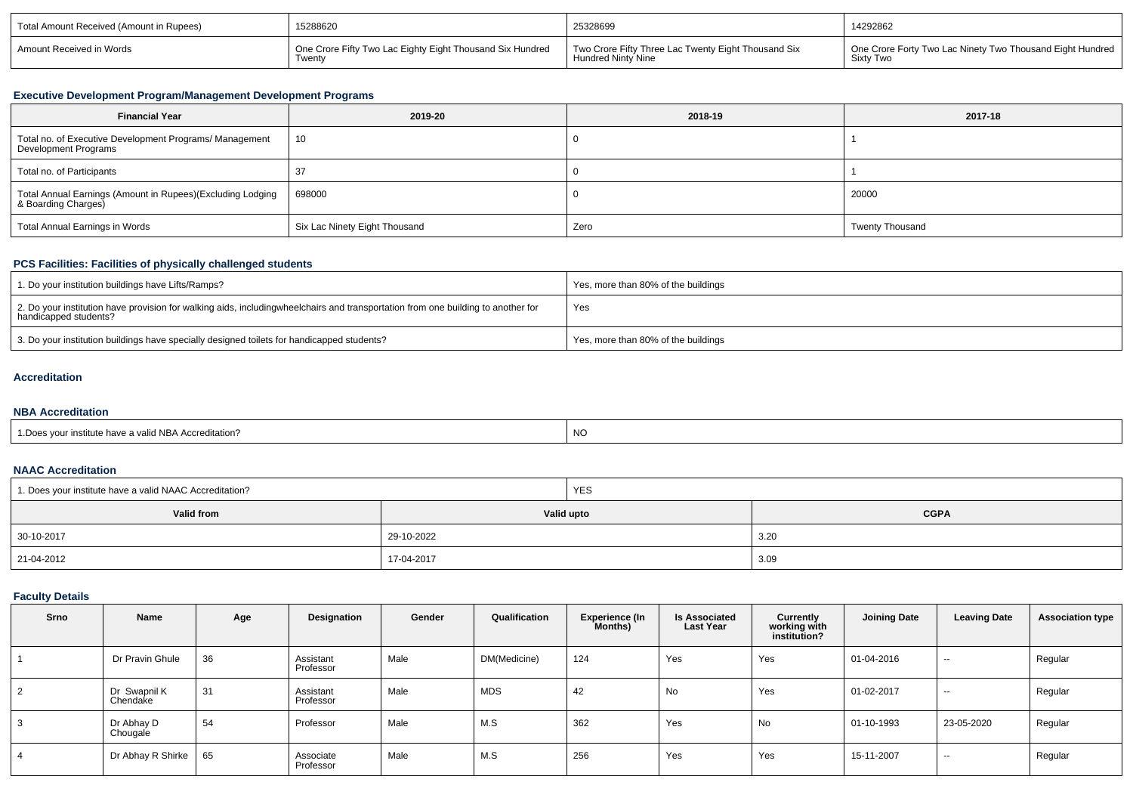| Total Amount Received (Amount in Rupees) | 15288620                                                  | 25328699                                            | 14292862                                                  |  |  |
|------------------------------------------|-----------------------------------------------------------|-----------------------------------------------------|-----------------------------------------------------------|--|--|
| Amount Received in Words                 | One Crore Fifty Two Lac Eighty Eight Thousand Six Hundred | Two Crore Fifty Three Lac Twenty Eight Thousand Six | One Crore Forty Two Lac Ninety Two Thousand Eight Hundred |  |  |
|                                          | Twenty                                                    | <b>Hundred Ninty Nine</b>                           | Sixty Two                                                 |  |  |

#### **Executive Development Program/Management Development Programs**

| <b>Financial Year</b>                                                             | 2019-20                       | 2018-19 | 2017-18                |
|-----------------------------------------------------------------------------------|-------------------------------|---------|------------------------|
| Total no. of Executive Development Programs/ Management<br>Development Programs   | 10                            |         |                        |
| Total no. of Participants                                                         |                               |         |                        |
| Total Annual Earnings (Amount in Rupees)(Excluding Lodging<br>& Boarding Charges) | 698000                        |         | 20000                  |
| Total Annual Earnings in Words                                                    | Six Lac Ninety Eight Thousand | Zero    | <b>Twenty Thousand</b> |

# **PCS Facilities: Facilities of physically challenged students**

| 1. Do your institution buildings have Lifts/Ramps?                                                                                                         | Yes, more than 80% of the buildings |
|------------------------------------------------------------------------------------------------------------------------------------------------------------|-------------------------------------|
| 2. Do your institution have provision for walking aids, including wheelchairs and transportation from one building to another for<br>handicapped students? | Yes                                 |
| 3. Do your institution buildings have specially designed toilets for handicapped students?                                                                 | Yes, more than 80% of the buildings |

#### **Accreditation**

## **NBA Accreditation**

| alid NBA Accreditation | <b>NO</b> |
|------------------------|-----------|
| . Insiiline nave a l   | $\sim$    |
| .                      |           |

#### **NAAC Accreditation**

| 1. Does your institute have a valid NAAC Accreditation? |            | <b>YES</b> |             |  |  |
|---------------------------------------------------------|------------|------------|-------------|--|--|
| Valid from                                              |            | Valid upto | <b>CGPA</b> |  |  |
| 30-10-2017                                              | 29-10-2022 |            | 3.20        |  |  |
| 21-04-2012                                              | 17-04-2017 |            | 3.09        |  |  |

## **Faculty Details**

| Srno           | Name                     | Age | Designation            | Gender | Qualification | <b>Experience (In</b><br>Months) | <b>Is Associated</b><br><b>Last Year</b> | Currently<br>working with<br>institution? | <b>Joining Date</b> | <b>Leaving Date</b> | <b>Association type</b> |
|----------------|--------------------------|-----|------------------------|--------|---------------|----------------------------------|------------------------------------------|-------------------------------------------|---------------------|---------------------|-------------------------|
|                | Dr Pravin Ghule          | 36  | Assistant<br>Professor | Male   | DM(Medicine)  | 124                              | Yes                                      | Yes                                       | 01-04-2016          | $\sim$              | Regular                 |
| $\overline{2}$ | Dr Swapnil K<br>Chendake | 31  | Assistant<br>Professor | Male   | MDS           | 42                               | No                                       | Yes                                       | 01-02-2017          | $\sim$              | Regular                 |
| 3              | Dr Abhay D<br>Chougale   | 54  | Professor              | Male   | M.S           | 362                              | Yes                                      | No                                        | 01-10-1993          | 23-05-2020          | Regular                 |
| 4              | Dr Abhay R Shirke        | 65  | Associate<br>Professor | Male   | M.S           | 256                              | Yes                                      | Yes                                       | 15-11-2007          | $\sim$              | Regular                 |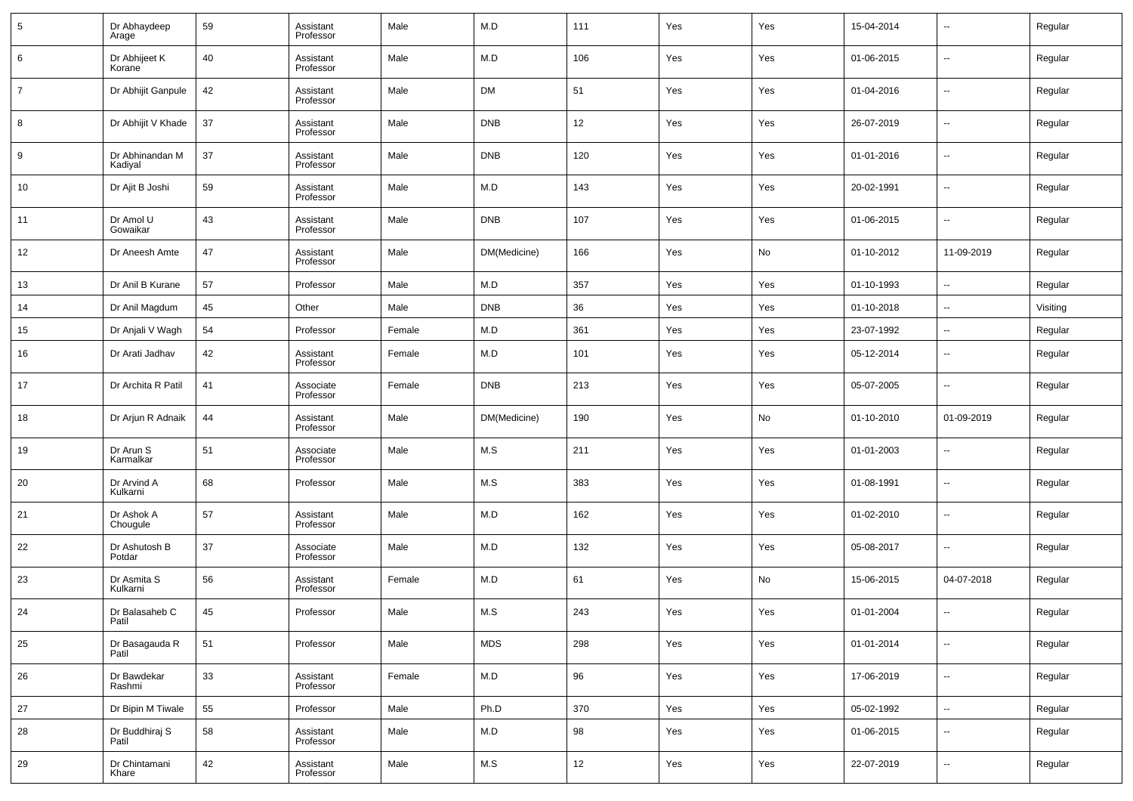| 5              | Dr Abhaydeep<br>Arage                | 59 | Assistant<br>Professor | Male   | M.D          | 111 | Yes | Yes | 15-04-2014 | $\overline{\phantom{a}}$ | Regular  |
|----------------|--------------------------------------|----|------------------------|--------|--------------|-----|-----|-----|------------|--------------------------|----------|
| 6              | Dr Abhijeet K<br>Korane <sup>®</sup> | 40 | Assistant<br>Professor | Male   | M.D          | 106 | Yes | Yes | 01-06-2015 | $\overline{\phantom{a}}$ | Regular  |
| $\overline{7}$ | Dr Abhijit Ganpule                   | 42 | Assistant<br>Professor | Male   | <b>DM</b>    | 51  | Yes | Yes | 01-04-2016 | $\overline{\phantom{a}}$ | Regular  |
| 8              | Dr Abhijit V Khade                   | 37 | Assistant<br>Professor | Male   | <b>DNB</b>   | 12  | Yes | Yes | 26-07-2019 | $\overline{\phantom{a}}$ | Regular  |
| 9              | Dr Abhinandan M<br>Kadiyal           | 37 | Assistant<br>Professor | Male   | <b>DNB</b>   | 120 | Yes | Yes | 01-01-2016 | $\overline{\phantom{a}}$ | Regular  |
| 10             | Dr Ajit B Joshi                      | 59 | Assistant<br>Professor | Male   | M.D          | 143 | Yes | Yes | 20-02-1991 | $\overline{\phantom{a}}$ | Regular  |
| 11             | Dr Amol U<br>Gowaikar                | 43 | Assistant<br>Professor | Male   | <b>DNB</b>   | 107 | Yes | Yes | 01-06-2015 | $\overline{\phantom{a}}$ | Regular  |
| 12             | Dr Aneesh Amte                       | 47 | Assistant<br>Professor | Male   | DM(Medicine) | 166 | Yes | No  | 01-10-2012 | 11-09-2019               | Regular  |
| 13             | Dr Anil B Kurane                     | 57 | Professor              | Male   | M.D          | 357 | Yes | Yes | 01-10-1993 | $\overline{\phantom{a}}$ | Regular  |
| 14             | Dr Anil Magdum                       | 45 | Other                  | Male   | <b>DNB</b>   | 36  | Yes | Yes | 01-10-2018 | $\overline{\phantom{a}}$ | Visiting |
| 15             | Dr Anjali V Wagh                     | 54 | Professor              | Female | M.D          | 361 | Yes | Yes | 23-07-1992 | $\overline{\phantom{a}}$ | Regular  |
| 16             | Dr Arati Jadhav                      | 42 | Assistant<br>Professor | Female | M.D          | 101 | Yes | Yes | 05-12-2014 | $\overline{\phantom{a}}$ | Regular  |
| 17             | Dr Archita R Patil                   | 41 | Associate<br>Professor | Female | <b>DNB</b>   | 213 | Yes | Yes | 05-07-2005 | $\overline{\phantom{a}}$ | Regular  |
| 18             | Dr Arjun R Adnaik                    | 44 | Assistant<br>Professor | Male   | DM(Medicine) | 190 | Yes | No  | 01-10-2010 | 01-09-2019               | Regular  |
| 19             | Dr Arun S<br>Karmalkar               | 51 | Associate<br>Professor | Male   | M.S          | 211 | Yes | Yes | 01-01-2003 | $\sim$                   | Regular  |
| 20             | Dr Arvind A<br>Kulkarni              | 68 | Professor              | Male   | M.S          | 383 | Yes | Yes | 01-08-1991 | $\overline{\phantom{a}}$ | Regular  |
| 21             | Dr Ashok A<br>Chougule               | 57 | Assistant<br>Professor | Male   | M.D          | 162 | Yes | Yes | 01-02-2010 | $\overline{\phantom{a}}$ | Regular  |
| 22             | Dr Ashutosh B<br>Potdar              | 37 | Associate<br>Professor | Male   | M.D          | 132 | Yes | Yes | 05-08-2017 | $\overline{\phantom{a}}$ | Regular  |
| 23             | Dr Asmita S<br>Kulkarni              | 56 | Assistant<br>Professor | Female | M.D          | 61  | Yes | No  | 15-06-2015 | 04-07-2018               | Regular  |
| 24             | Dr Balasaheb C<br>Patil              | 45 | Professor              | Male   | M.S          | 243 | Yes | Yes | 01-01-2004 | $\sim$                   | Regular  |
| 25             | Dr Basagauda R<br>Patil              | 51 | Professor              | Male   | <b>MDS</b>   | 298 | Yes | Yes | 01-01-2014 | $\overline{\phantom{a}}$ | Regular  |
| 26             | Dr Bawdekar<br>Rashmi                | 33 | Assistant<br>Professor | Female | M.D          | 96  | Yes | Yes | 17-06-2019 | $\overline{\phantom{a}}$ | Regular  |
| 27             | Dr Bipin M Tiwale                    | 55 | Professor              | Male   | Ph.D         | 370 | Yes | Yes | 05-02-1992 | $\overline{\phantom{a}}$ | Regular  |
| 28             | Dr Buddhiraj S<br>Patil              | 58 | Assistant<br>Professor | Male   | M.D          | 98  | Yes | Yes | 01-06-2015 | ۰.                       | Regular  |
| 29             | Dr Chintamani<br>Khare               | 42 | Assistant<br>Professor | Male   | M.S          | 12  | Yes | Yes | 22-07-2019 | $\overline{\phantom{a}}$ | Regular  |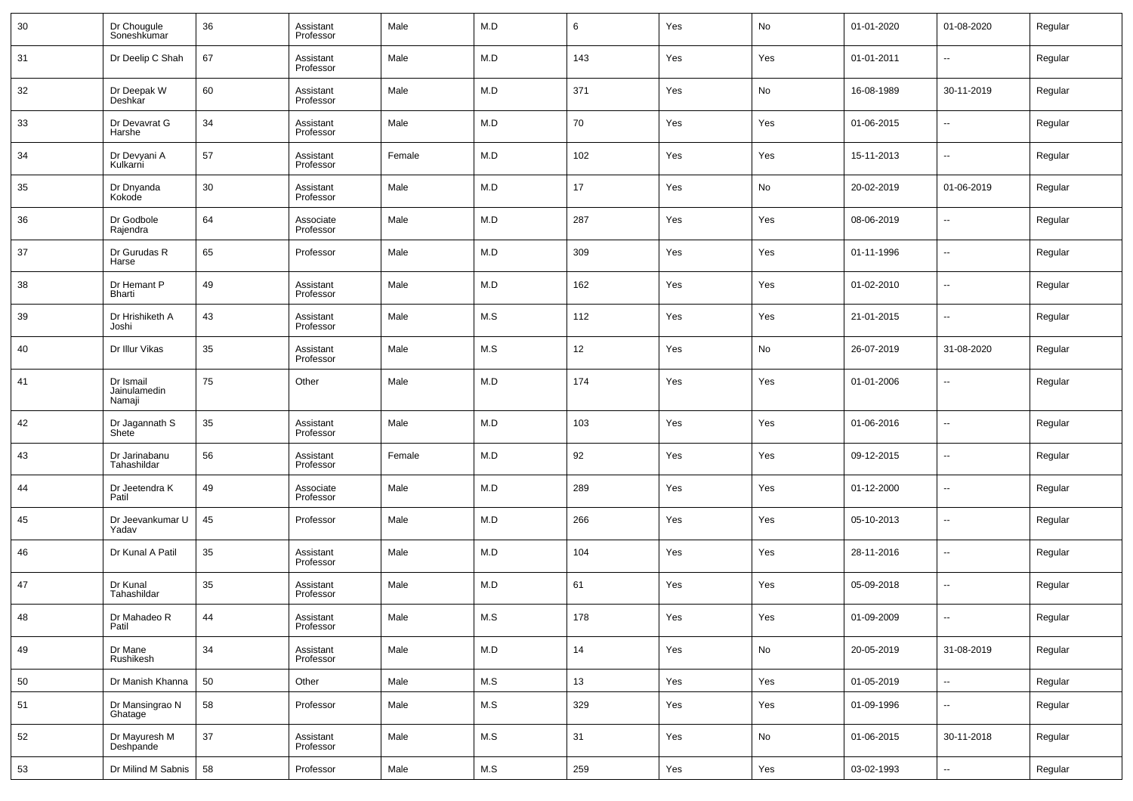| 30 | Dr Chougule<br>Soneshkumar          | 36 | Assistant<br>Professor | Male   | M.D | 6   | Yes | No  | 01-01-2020 | 01-08-2020               | Regular |
|----|-------------------------------------|----|------------------------|--------|-----|-----|-----|-----|------------|--------------------------|---------|
| 31 | Dr Deelip C Shah                    | 67 | Assistant<br>Professor | Male   | M.D | 143 | Yes | Yes | 01-01-2011 | $\ddotsc$                | Regular |
| 32 | Dr Deepak W<br>Deshkar              | 60 | Assistant<br>Professor | Male   | M.D | 371 | Yes | No  | 16-08-1989 | 30-11-2019               | Regular |
| 33 | Dr Devavrat G<br>Harshe             | 34 | Assistant<br>Professor | Male   | M.D | 70  | Yes | Yes | 01-06-2015 | $\overline{\phantom{a}}$ | Regular |
| 34 | Dr Devyani A<br>Kulkarni            | 57 | Assistant<br>Professor | Female | M.D | 102 | Yes | Yes | 15-11-2013 | ۰.                       | Regular |
| 35 | Dr Dnyanda<br>Kokode                | 30 | Assistant<br>Professor | Male   | M.D | 17  | Yes | No  | 20-02-2019 | 01-06-2019               | Regular |
| 36 | Dr Godbole<br>Rajendra              | 64 | Associate<br>Professor | Male   | M.D | 287 | Yes | Yes | 08-06-2019 | $\overline{\phantom{a}}$ | Regular |
| 37 | Dr Gurudas R<br>Harse               | 65 | Professor              | Male   | M.D | 309 | Yes | Yes | 01-11-1996 | $\ddotsc$                | Regular |
| 38 | Dr Hemant P<br>Bharti               | 49 | Assistant<br>Professor | Male   | M.D | 162 | Yes | Yes | 01-02-2010 | ۰.                       | Regular |
| 39 | Dr Hrishiketh A<br>Joshi            | 43 | Assistant<br>Professor | Male   | M.S | 112 | Yes | Yes | 21-01-2015 | $\ddotsc$                | Regular |
| 40 | Dr Illur Vikas                      | 35 | Assistant<br>Professor | Male   | M.S | 12  | Yes | No  | 26-07-2019 | 31-08-2020               | Regular |
| 41 | Dr Ismail<br>Jainulamedin<br>Namaji | 75 | Other                  | Male   | M.D | 174 | Yes | Yes | 01-01-2006 | $\overline{\phantom{a}}$ | Regular |
| 42 | Dr Jagannath S<br>Shete             | 35 | Assistant<br>Professor | Male   | M.D | 103 | Yes | Yes | 01-06-2016 | $\overline{\phantom{a}}$ | Regular |
| 43 | Dr Jarinabanu<br>Tahashildar        | 56 | Assistant<br>Professor | Female | M.D | 92  | Yes | Yes | 09-12-2015 | ۰.                       | Regular |
| 44 | Dr Jeetendra K<br>Patil             | 49 | Associate<br>Professor | Male   | M.D | 289 | Yes | Yes | 01-12-2000 | $\overline{\phantom{a}}$ | Regular |
| 45 | Dr Jeevankumar U<br>Yadav           | 45 | Professor              | Male   | M.D | 266 | Yes | Yes | 05-10-2013 | $\overline{\phantom{a}}$ | Regular |
| 46 | Dr Kunal A Patil                    | 35 | Assistant<br>Professor | Male   | M.D | 104 | Yes | Yes | 28-11-2016 | $\overline{\phantom{a}}$ | Regular |
| 47 | Dr Kunal<br>Tahashildar             | 35 | Assistant<br>Professor | Male   | M.D | 61  | Yes | Yes | 05-09-2018 | $\overline{\phantom{a}}$ | Regular |
| 48 | Dr Mahadeo R<br>Patil               | 44 | Assistant<br>Professor | Male   | M.S | 178 | Yes | Yes | 01-09-2009 |                          | Regular |
| 49 | Dr Mane<br>Rushikesh                | 34 | Assistant<br>Professor | Male   | M.D | 14  | Yes | No  | 20-05-2019 | 31-08-2019               | Regular |
| 50 | Dr Manish Khanna                    | 50 | Other                  | Male   | M.S | 13  | Yes | Yes | 01-05-2019 | $\overline{\phantom{a}}$ | Regular |
| 51 | Dr Mansingrao N<br>Ghatage          | 58 | Professor              | Male   | M.S | 329 | Yes | Yes | 01-09-1996 | $\sim$                   | Regular |
| 52 | Dr Mayuresh M<br>Deshpande          | 37 | Assistant<br>Professor | Male   | M.S | 31  | Yes | No  | 01-06-2015 | 30-11-2018               | Regular |
| 53 | Dr Milind M Sabnis                  | 58 | Professor              | Male   | M.S | 259 | Yes | Yes | 03-02-1993 | $\overline{\phantom{a}}$ | Regular |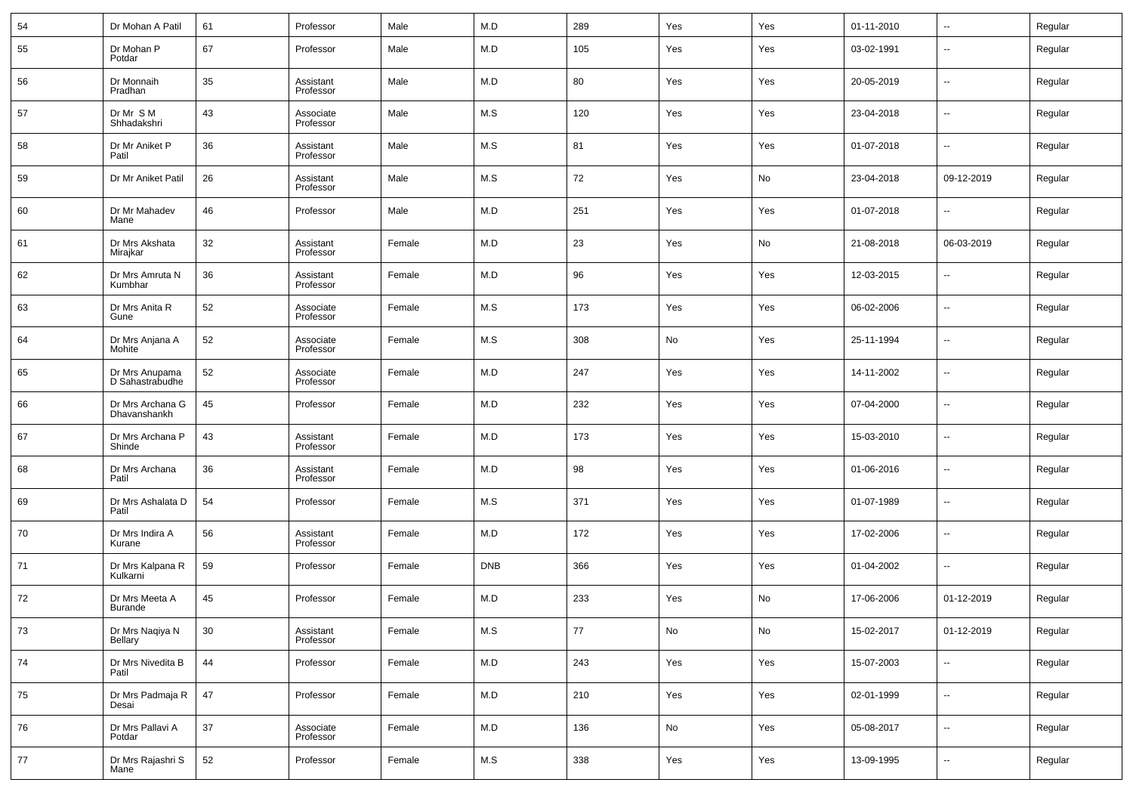| 54 | Dr Mohan A Patil                  | 61 | Professor              | Male   | M.D         | 289    | Yes                          | Yes | 01-11-2010 | --                       | Regular |
|----|-----------------------------------|----|------------------------|--------|-------------|--------|------------------------------|-----|------------|--------------------------|---------|
| 55 | Dr Mohan P<br>Potdar              | 67 | Professor              | Male   | M.D         | 105    | Yes                          | Yes | 03-02-1991 | $\overline{\phantom{a}}$ | Regular |
| 56 | Dr Monnaih<br>Pradhan             | 35 | Assistant<br>Professor | Male   | M.D         | 80     | Yes                          | Yes | 20-05-2019 | ۰.                       | Regular |
| 57 | Dr Mr S M<br>Shhadakshri          | 43 | Associate<br>Professor | Male   | M.S         | 120    | Yes                          | Yes | 23-04-2018 | ۰.                       | Regular |
| 58 | Dr Mr Aniket P<br>Patil           | 36 | Assistant<br>Professor | Male   | M.S         | 81     | Yes                          | Yes | 01-07-2018 | ۰.                       | Regular |
| 59 | Dr Mr Aniket Patil                | 26 | Assistant<br>Professor | Male   | M.S         | 72     | Yes                          | No  | 23-04-2018 | 09-12-2019               | Regular |
| 60 | Dr Mr Mahadev<br>Mane             | 46 | Professor              | Male   | M.D         | 251    | Yes                          | Yes | 01-07-2018 | $\overline{\phantom{a}}$ | Regular |
| 61 | Dr Mrs Akshata<br>Mirajkar        | 32 | Assistant<br>Professor | Female | M.D         | 23     | Yes                          | No  | 21-08-2018 | 06-03-2019               | Regular |
| 62 | Dr Mrs Amruta N<br>Kumbhar        | 36 | Assistant<br>Professor | Female | M.D         | 96     | Yes                          | Yes | 12-03-2015 | $\overline{\phantom{a}}$ | Regular |
| 63 | Dr Mrs Anita R<br>Gune            | 52 | Associate<br>Professor | Female | M.S         | 173    | Yes                          | Yes | 06-02-2006 | ۰.                       | Regular |
| 64 | Dr Mrs Anjana A<br>Mohite         | 52 | Associate<br>Professor | Female | M.S         | 308    | $\operatorname{\mathsf{No}}$ | Yes | 25-11-1994 | ۰.                       | Regular |
| 65 | Dr Mrs Anupama<br>D Sahastrabudhe | 52 | Associate<br>Professor | Female | M.D         | 247    | Yes                          | Yes | 14-11-2002 | ۰.                       | Regular |
| 66 | Dr Mrs Archana G<br>Dhavanshankh  | 45 | Professor              | Female | M.D         | 232    | Yes                          | Yes | 07-04-2000 | ۰.                       | Regular |
| 67 | Dr Mrs Archana P<br>Shinde        | 43 | Assistant<br>Professor | Female | M.D         | 173    | Yes                          | Yes | 15-03-2010 | ۰.                       | Regular |
| 68 | Dr Mrs Archana<br>Patil           | 36 | Assistant<br>Professor | Female | M.D         | 98     | Yes                          | Yes | 01-06-2016 | ۰.                       | Regular |
| 69 | Dr Mrs Ashalata D<br>Patil        | 54 | Professor              | Female | M.S         | 371    | Yes                          | Yes | 01-07-1989 | ۰.                       | Regular |
| 70 | Dr Mrs Indira A<br>Kurane         | 56 | Assistant<br>Professor | Female | M.D         | 172    | Yes                          | Yes | 17-02-2006 | ۰.                       | Regular |
| 71 | Dr Mrs Kalpana R<br>Kulkarni      | 59 | Professor              | Female | <b>DNB</b>  | 366    | Yes                          | Yes | 01-04-2002 | ۰.                       | Regular |
| 72 | Dr Mrs Meeta A<br>Burande         | 45 | Professor              | Female | M.D         | 233    | Yes                          | No  | 17-06-2006 | 01-12-2019               | Regular |
| 73 | Dr Mrs Naqiya N<br>Bellary        | 30 | Assistant<br>Professor | Female | M.S         | $77\,$ | No                           | No  | 15-02-2017 | 01-12-2019               | Regular |
| 74 | Dr Mrs Nivedita B<br>Patil        | 44 | Professor              | Female | ${\sf M.D}$ | 243    | Yes                          | Yes | 15-07-2003 | ۰.                       | Regular |
| 75 | Dr Mrs Padmaja R<br>Desai         | 47 | Professor              | Female | ${\sf M.D}$ | 210    | Yes                          | Yes | 02-01-1999 | ۰.                       | Regular |
| 76 | Dr Mrs Pallavi A<br>Potdar        | 37 | Associate<br>Professor | Female | ${\sf M.D}$ | 136    | No                           | Yes | 05-08-2017 | ۰.                       | Regular |
| 77 | Dr Mrs Rajashri S<br>Mane         | 52 | Professor              | Female | M.S         | 338    | Yes                          | Yes | 13-09-1995 | $\overline{\phantom{a}}$ | Regular |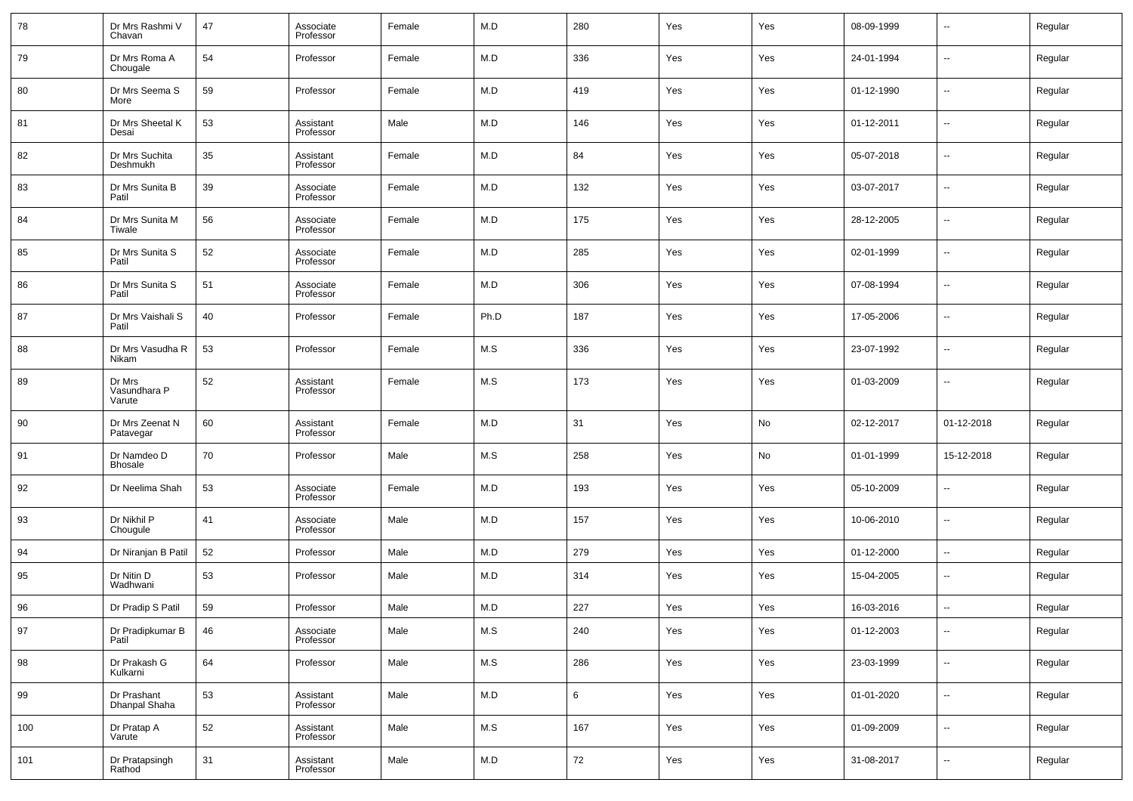| 78  | Dr Mrs Rashmi V<br>Chavan        | 47 | Associate<br>Professor | Female | M.D   | 280 | Yes | Yes | 08-09-1999 | $\sim$                   | Regular |
|-----|----------------------------------|----|------------------------|--------|-------|-----|-----|-----|------------|--------------------------|---------|
| 79  | Dr Mrs Roma A<br>Chougale        | 54 | Professor              | Female | M.D   | 336 | Yes | Yes | 24-01-1994 | $\overline{\phantom{a}}$ | Regular |
| 80  | Dr Mrs Seema S<br>More           | 59 | Professor              | Female | M.D   | 419 | Yes | Yes | 01-12-1990 | $\overline{\phantom{a}}$ | Regular |
| 81  | Dr Mrs Sheetal K<br>Desai        | 53 | Assistant<br>Professor | Male   | M.D   | 146 | Yes | Yes | 01-12-2011 | $\overline{\phantom{a}}$ | Regular |
| 82  | Dr Mrs Suchita<br>Deshmukh       | 35 | Assistant<br>Professor | Female | M.D   | 84  | Yes | Yes | 05-07-2018 | ш.                       | Regular |
| 83  | Dr Mrs Sunita B<br>Patil         | 39 | Associate<br>Professor | Female | M.D   | 132 | Yes | Yes | 03-07-2017 | $\overline{\phantom{a}}$ | Regular |
| 84  | Dr Mrs Sunita M<br>Tiwale        | 56 | Associate<br>Professor | Female | M.D   | 175 | Yes | Yes | 28-12-2005 | $\overline{\phantom{a}}$ | Regular |
| 85  | Dr Mrs Sunita S<br>Patil         | 52 | Associate<br>Professor | Female | M.D   | 285 | Yes | Yes | 02-01-1999 | $\overline{\phantom{a}}$ | Regular |
| 86  | Dr Mrs Sunita S<br>Patil         | 51 | Associate<br>Professor | Female | M.D   | 306 | Yes | Yes | 07-08-1994 | $\overline{\phantom{a}}$ | Regular |
| 87  | Dr Mrs Vaishali S<br>Patil       | 40 | Professor              | Female | Ph.D  | 187 | Yes | Yes | 17-05-2006 | $\overline{\phantom{a}}$ | Regular |
| 88  | Dr Mrs Vasudha R<br>Nikam        | 53 | Professor              | Female | M.S   | 336 | Yes | Yes | 23-07-1992 | $\overline{\phantom{a}}$ | Regular |
| 89  | Dr Mrs<br>Vasundhara P<br>Varute | 52 | Assistant<br>Professor | Female | M.S   | 173 | Yes | Yes | 01-03-2009 | --                       | Regular |
| 90  | Dr Mrs Zeenat N<br>Patavegar     | 60 | Assistant<br>Professor | Female | M.D   | 31  | Yes | No  | 02-12-2017 | 01-12-2018               | Regular |
| 91  | Dr Namdeo D<br>Bhosale           | 70 | Professor              | Male   | M.S   | 258 | Yes | No  | 01-01-1999 | 15-12-2018               | Regular |
| 92  | Dr Neelima Shah                  | 53 | Associate<br>Professor | Female | M.D   | 193 | Yes | Yes | 05-10-2009 | --                       | Regular |
| 93  | Dr Nikhil P<br>Chougule          | 41 | Associate<br>Professor | Male   | M.D   | 157 | Yes | Yes | 10-06-2010 | ш.                       | Regular |
| 94  | Dr Niranjan B Patil              | 52 | Professor              | Male   | M.D   | 279 | Yes | Yes | 01-12-2000 | н.                       | Regular |
| 95  | Dr Nitin D<br>Wadhwani           | 53 | Professor              | Male   | M.D   | 314 | Yes | Yes | 15-04-2005 | --                       | Regular |
| 96  | Dr Pradip S Patil                | 59 | Professor              | Male   | M.D   | 227 | Yes | Yes | 16-03-2016 | --                       | Regular |
| 97  | Dr Pradipkumar B<br>Patil        | 46 | Associate<br>Professor | Male   | M.S   | 240 | Yes | Yes | 01-12-2003 | $\sim$                   | Regular |
| 98  | Dr Prakash G<br>Kulkarni         | 64 | Professor              | Male   | $M.S$ | 286 | Yes | Yes | 23-03-1999 | $\overline{\phantom{a}}$ | Regular |
| 99  | Dr Prashant<br>Dhanpal Shaha     | 53 | Assistant<br>Professor | Male   | M.D   | 6   | Yes | Yes | 01-01-2020 | $\overline{\phantom{a}}$ | Regular |
| 100 | Dr Pratap A<br>Varute            | 52 | Assistant<br>Professor | Male   | $M.S$ | 167 | Yes | Yes | 01-09-2009 | $\sim$                   | Regular |
| 101 | Dr Pratapsingh<br>Rathod         | 31 | Assistant<br>Professor | Male   | M.D   | 72  | Yes | Yes | 31-08-2017 | $\overline{\phantom{a}}$ | Regular |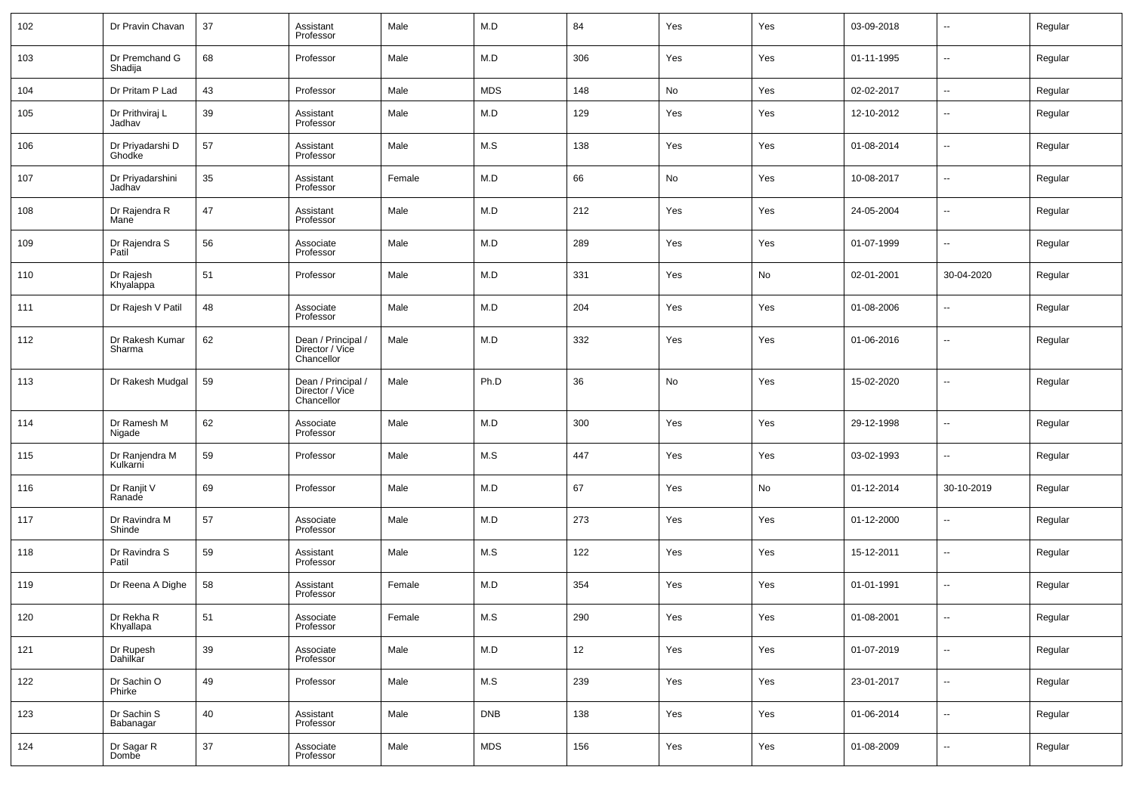| 102 | Dr Pravin Chavan           | 37 | Assistant<br>Professor                              | Male   | M.D        | 84  | Yes | Yes | 03-09-2018 | $\overline{\phantom{a}}$ | Regular |
|-----|----------------------------|----|-----------------------------------------------------|--------|------------|-----|-----|-----|------------|--------------------------|---------|
| 103 | Dr Premchand G<br>Shadija  | 68 | Professor                                           | Male   | M.D        | 306 | Yes | Yes | 01-11-1995 | $\overline{\phantom{a}}$ | Regular |
| 104 | Dr Pritam P Lad            | 43 | Professor                                           | Male   | <b>MDS</b> | 148 | No  | Yes | 02-02-2017 | Щ,                       | Regular |
| 105 | Dr Prithviraj L<br>Jadhav  | 39 | Assistant<br>Professor                              | Male   | M.D        | 129 | Yes | Yes | 12-10-2012 | $\overline{\phantom{a}}$ | Regular |
| 106 | Dr Priyadarshi D<br>Ghodke | 57 | Assistant<br>Professor                              | Male   | M.S        | 138 | Yes | Yes | 01-08-2014 | ш,                       | Regular |
| 107 | Dr Priyadarshini<br>Jadhav | 35 | Assistant<br>Professor                              | Female | M.D        | 66  | No  | Yes | 10-08-2017 | ш,                       | Regular |
| 108 | Dr Rajendra R<br>Mane      | 47 | Assistant<br>Professor                              | Male   | M.D        | 212 | Yes | Yes | 24-05-2004 | щ,                       | Regular |
| 109 | Dr Rajendra S<br>Patil     | 56 | Associate<br>Professor                              | Male   | M.D        | 289 | Yes | Yes | 01-07-1999 | ш,                       | Regular |
| 110 | Dr Rajesh<br>Khyalappa     | 51 | Professor                                           | Male   | M.D        | 331 | Yes | No  | 02-01-2001 | 30-04-2020               | Regular |
| 111 | Dr Rajesh V Patil          | 48 | Associate<br>Professor                              | Male   | M.D        | 204 | Yes | Yes | 01-08-2006 | --                       | Regular |
| 112 | Dr Rakesh Kumar<br>Sharma  | 62 | Dean / Principal /<br>Director / Vice<br>Chancellor | Male   | M.D        | 332 | Yes | Yes | 01-06-2016 | -−                       | Regular |
| 113 | Dr Rakesh Mudgal           | 59 | Dean / Principal /<br>Director / Vice<br>Chancellor | Male   | Ph.D       | 36  | No  | Yes | 15-02-2020 | Ξ.                       | Regular |
| 114 | Dr Ramesh M<br>Nigade      | 62 | Associate<br>Professor                              | Male   | M.D        | 300 | Yes | Yes | 29-12-1998 | $\overline{\phantom{a}}$ | Regular |
| 115 | Dr Ranjendra M<br>Kulkarni | 59 | Professor                                           | Male   | M.S        | 447 | Yes | Yes | 03-02-1993 | --                       | Regular |
| 116 | Dr Ranjit V<br>Ranade      | 69 | Professor                                           | Male   | M.D        | 67  | Yes | No  | 01-12-2014 | 30-10-2019               | Regular |
| 117 | Dr Ravindra M<br>Shinde    | 57 | Associate<br>Professor                              | Male   | M.D        | 273 | Yes | Yes | 01-12-2000 | $\overline{\phantom{a}}$ | Regular |
| 118 | Dr Ravindra S<br>Patil     | 59 | Assistant<br>Professor                              | Male   | M.S        | 122 | Yes | Yes | 15-12-2011 | --                       | Regular |
| 119 | Dr Reena A Dighe           | 58 | Assistant<br>Professor                              | Female | M.D        | 354 | Yes | Yes | 01-01-1991 | $\overline{\phantom{a}}$ | Regular |
| 120 | Dr Rekha R<br>Khyallapa    | 51 | Associate<br>Professor                              | Female | M.S        | 290 | Yes | Yes | 01-08-2001 |                          | Regular |
| 121 | Dr Rupesh<br>Dahilkar      | 39 | Associate<br>Professor                              | Male   | M.D        | 12  | Yes | Yes | 01-07-2019 | u,                       | Regular |
| 122 | Dr Sachin O<br>Phirke      | 49 | Professor                                           | Male   | M.S        | 239 | Yes | Yes | 23-01-2017 | н.                       | Regular |
| 123 | Dr Sachin S<br>Babanagar   | 40 | Assistant<br>Professor                              | Male   | <b>DNB</b> | 138 | Yes | Yes | 01-06-2014 | Щ,                       | Regular |
| 124 | Dr Sagar R<br>Dombe        | 37 | Associate<br>Professor                              | Male   | <b>MDS</b> | 156 | Yes | Yes | 01-08-2009 | Щ,                       | Regular |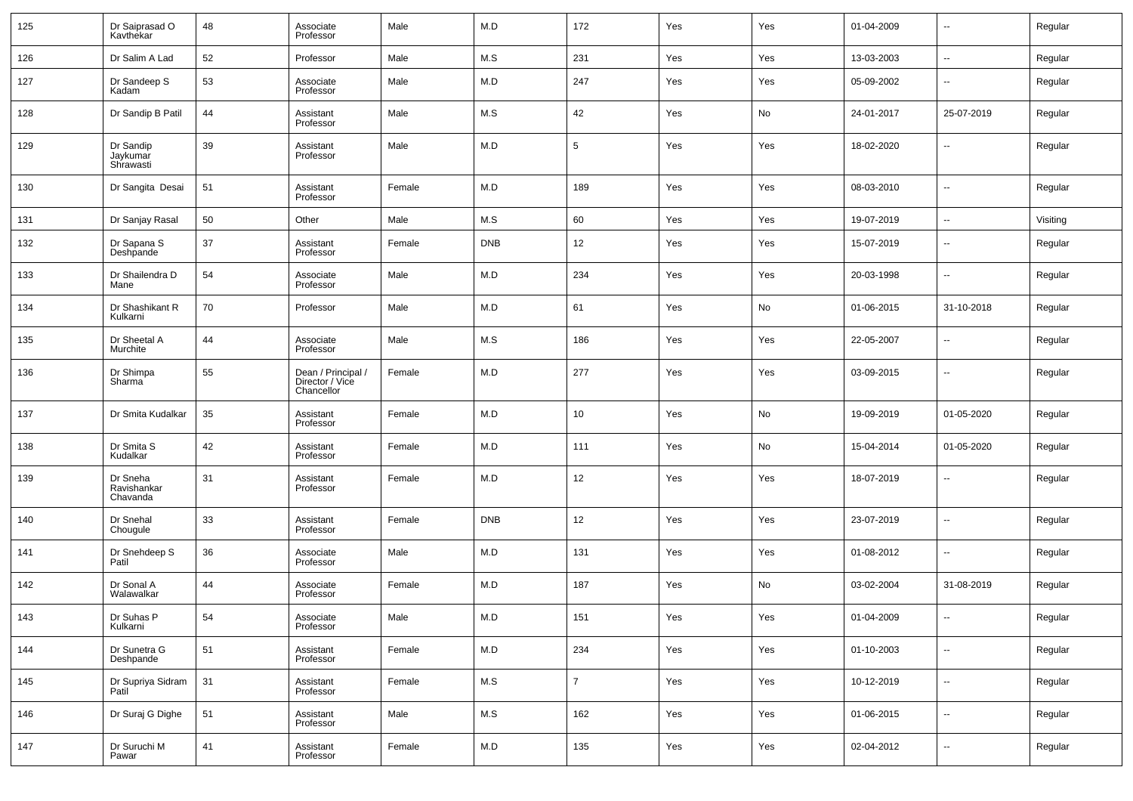| 125 | Dr Saiprasad O<br>Kavthekar         | 48 | Associate<br>Professor                              | Male   | M.D        | 172             | Yes | Yes | 01-04-2009 | $\overline{\phantom{a}}$ | Regular  |
|-----|-------------------------------------|----|-----------------------------------------------------|--------|------------|-----------------|-----|-----|------------|--------------------------|----------|
| 126 | Dr Salim A Lad                      | 52 | Professor                                           | Male   | M.S        | 231             | Yes | Yes | 13-03-2003 | $\overline{\phantom{a}}$ | Regular  |
| 127 | Dr Sandeep S<br>Kadam               | 53 | Associate<br>Professor                              | Male   | M.D        | 247             | Yes | Yes | 05-09-2002 | $\overline{\phantom{a}}$ | Regular  |
| 128 | Dr Sandip B Patil                   | 44 | Assistant<br>Professor                              | Male   | M.S        | 42              | Yes | No  | 24-01-2017 | 25-07-2019               | Regular  |
| 129 | Dr Sandip<br>Jaykumar<br>Shrawasti  | 39 | Assistant<br>Professor                              | Male   | M.D        | 5               | Yes | Yes | 18-02-2020 | $\overline{\phantom{a}}$ | Regular  |
| 130 | Dr Sangita Desai                    | 51 | Assistant<br>Professor                              | Female | M.D        | 189             | Yes | Yes | 08-03-2010 | $\overline{\phantom{a}}$ | Regular  |
| 131 | Dr Sanjay Rasal                     | 50 | Other                                               | Male   | M.S        | 60              | Yes | Yes | 19-07-2019 | $\overline{\phantom{a}}$ | Visiting |
| 132 | Dr Sapana S<br>Deshpande            | 37 | Assistant<br>Professor                              | Female | <b>DNB</b> | 12              | Yes | Yes | 15-07-2019 | $\overline{\phantom{a}}$ | Regular  |
| 133 | Dr Shailendra D<br>Mane             | 54 | Associate<br>Professor                              | Male   | M.D        | 234             | Yes | Yes | 20-03-1998 | $\overline{\phantom{a}}$ | Regular  |
| 134 | Dr Shashikant R<br>Kulkarni         | 70 | Professor                                           | Male   | M.D        | 61              | Yes | No  | 01-06-2015 | 31-10-2018               | Regular  |
| 135 | Dr Sheetal A<br>Murchite            | 44 | Associate<br>Professor                              | Male   | M.S        | 186             | Yes | Yes | 22-05-2007 | $\overline{\phantom{a}}$ | Regular  |
| 136 | Dr Shimpa<br>Sharma                 | 55 | Dean / Principal /<br>Director / Vice<br>Chancellor | Female | M.D        | 277             | Yes | Yes | 03-09-2015 | $\overline{\phantom{a}}$ | Regular  |
| 137 | Dr Smita Kudalkar                   | 35 | Assistant<br>Professor                              | Female | M.D        | 10 <sup>1</sup> | Yes | No  | 19-09-2019 | 01-05-2020               | Regular  |
| 138 | Dr Smita S<br>Kudalkar              | 42 | Assistant<br>Professor                              | Female | M.D        | 111             | Yes | No  | 15-04-2014 | 01-05-2020               | Regular  |
| 139 | Dr Sneha<br>Ravishankar<br>Chavanda | 31 | Assistant<br>Professor                              | Female | M.D        | 12              | Yes | Yes | 18-07-2019 | $\overline{\phantom{a}}$ | Regular  |
| 140 | Dr Snehal<br>Chougule               | 33 | Assistant<br>Professor                              | Female | <b>DNB</b> | 12              | Yes | Yes | 23-07-2019 | $\overline{\phantom{a}}$ | Regular  |
| 141 | Dr Snehdeep S<br>Patil              | 36 | Associate<br>Professor                              | Male   | M.D        | 131             | Yes | Yes | 01-08-2012 | $\sim$                   | Regular  |
| 142 | Dr Sonal A<br>Walawalkar            | 44 | Associate<br>Professor                              | Female | M.D        | 187             | Yes | No  | 03-02-2004 | 31-08-2019               | Regular  |
| 143 | Dr Suhas P<br>Kulkarni              | 54 | Associate<br>Professor                              | Male   | M.D        | 151             | Yes | Yes | 01-04-2009 | $\overline{\phantom{a}}$ | Regular  |
| 144 | Dr Sunetra G<br>Deshpande           | 51 | Assistant<br>Professor                              | Female | M.D        | 234             | Yes | Yes | 01-10-2003 | $\overline{\phantom{a}}$ | Regular  |
| 145 | Dr Supriya Sidram<br>Patil          | 31 | Assistant<br>Professor                              | Female | M.S        | $\overline{7}$  | Yes | Yes | 10-12-2019 | $\overline{\phantom{a}}$ | Regular  |
| 146 | Dr Suraj G Dighe                    | 51 | Assistant<br>Professor                              | Male   | M.S        | 162             | Yes | Yes | 01-06-2015 | $\overline{\phantom{a}}$ | Regular  |
| 147 | Dr Suruchi M<br>Pawar               | 41 | Assistant<br>Professor                              | Female | M.D        | 135             | Yes | Yes | 02-04-2012 | ۰.                       | Regular  |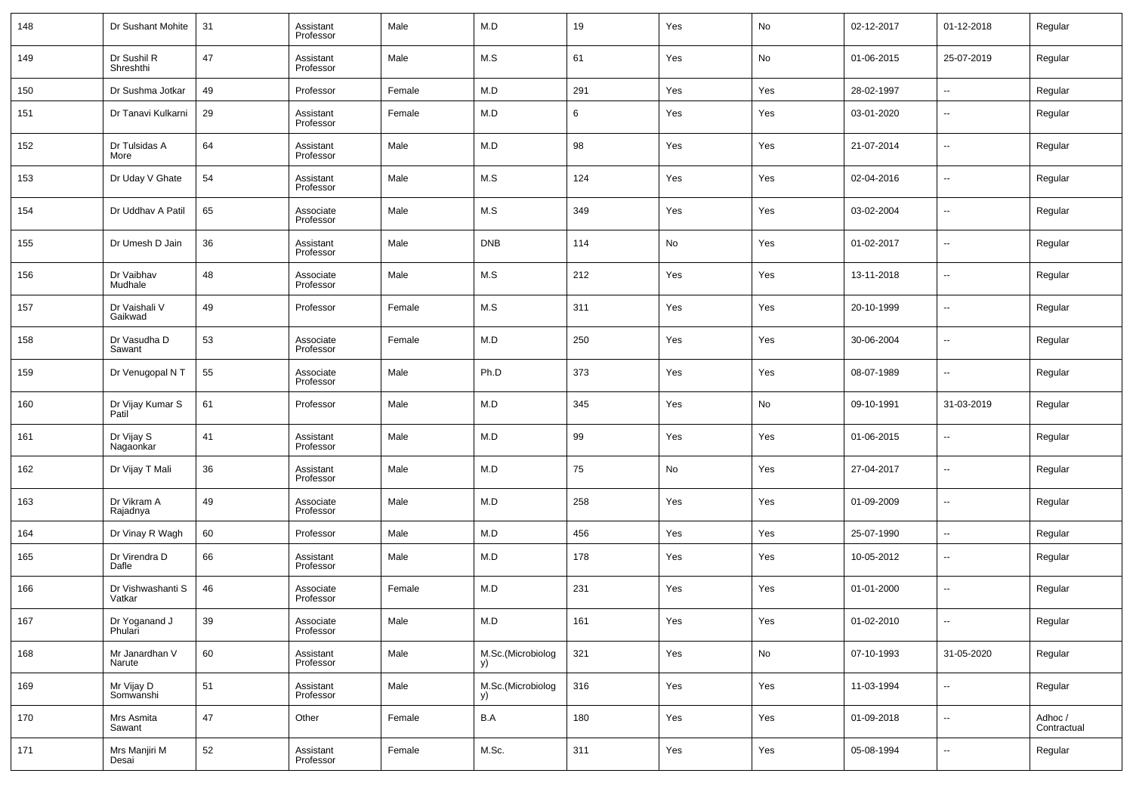| 148 | Dr Sushant Mohite           | 31 | Assistant<br>Professor | Male   | M.D                     | 19  | Yes | No  | 02-12-2017 | 01-12-2018               | Regular                |
|-----|-----------------------------|----|------------------------|--------|-------------------------|-----|-----|-----|------------|--------------------------|------------------------|
| 149 | Dr Sushil R<br>Shreshthi    | 47 | Assistant<br>Professor | Male   | M.S                     | 61  | Yes | No  | 01-06-2015 | 25-07-2019               | Regular                |
| 150 | Dr Sushma Jotkar            | 49 | Professor              | Female | M.D                     | 291 | Yes | Yes | 28-02-1997 | $\overline{\phantom{a}}$ | Regular                |
| 151 | Dr Tanavi Kulkarni          | 29 | Assistant<br>Professor | Female | M.D                     | 6   | Yes | Yes | 03-01-2020 | $\overline{\phantom{a}}$ | Regular                |
| 152 | Dr Tulsidas A<br>More       | 64 | Assistant<br>Professor | Male   | M.D                     | 98  | Yes | Yes | 21-07-2014 | $\overline{\phantom{a}}$ | Regular                |
| 153 | Dr Uday V Ghate             | 54 | Assistant<br>Professor | Male   | M.S                     | 124 | Yes | Yes | 02-04-2016 | $\overline{\phantom{a}}$ | Regular                |
| 154 | Dr Uddhav A Patil           | 65 | Associate<br>Professor | Male   | M.S                     | 349 | Yes | Yes | 03-02-2004 | $\overline{\phantom{a}}$ | Regular                |
| 155 | Dr Umesh D Jain             | 36 | Assistant<br>Professor | Male   | <b>DNB</b>              | 114 | No  | Yes | 01-02-2017 | $\overline{\phantom{a}}$ | Regular                |
| 156 | Dr Vaibhav<br>Mudhale       | 48 | Associate<br>Professor | Male   | M.S                     | 212 | Yes | Yes | 13-11-2018 | $\overline{\phantom{a}}$ | Regular                |
| 157 | Dr Vaishali V<br>Gaikwad    | 49 | Professor              | Female | M.S                     | 311 | Yes | Yes | 20-10-1999 | $\overline{\phantom{a}}$ | Regular                |
| 158 | Dr Vasudha D<br>Sawant      | 53 | Associate<br>Professor | Female | M.D                     | 250 | Yes | Yes | 30-06-2004 | $\overline{\phantom{a}}$ | Regular                |
| 159 | Dr Venugopal N T            | 55 | Associate<br>Professor | Male   | Ph.D                    | 373 | Yes | Yes | 08-07-1989 | $\overline{\phantom{a}}$ | Regular                |
| 160 | Dr Vijay Kumar S<br>Patil   | 61 | Professor              | Male   | M.D                     | 345 | Yes | No  | 09-10-1991 | 31-03-2019               | Regular                |
| 161 | Dr Vijay S<br>Nagaonkar     | 41 | Assistant<br>Professor | Male   | M.D                     | 99  | Yes | Yes | 01-06-2015 | $\overline{\phantom{a}}$ | Regular                |
| 162 | Dr Vijay T Mali             | 36 | Assistant<br>Professor | Male   | M.D                     | 75  | No  | Yes | 27-04-2017 | $\overline{\phantom{a}}$ | Regular                |
| 163 | Dr Vikram A<br>Rajadnya     | 49 | Associate<br>Professor | Male   | M.D                     | 258 | Yes | Yes | 01-09-2009 | $\overline{\phantom{a}}$ | Regular                |
| 164 | Dr Vinay R Wagh             | 60 | Professor              | Male   | M.D                     | 456 | Yes | Yes | 25-07-1990 | $\overline{\phantom{a}}$ | Regular                |
| 165 | Dr Virendra D<br>Dafle      | 66 | Assistant<br>Professor | Male   | M.D                     | 178 | Yes | Yes | 10-05-2012 | $\overline{\phantom{a}}$ | Regular                |
| 166 | Dr Vishwashanti S<br>Vatkar | 46 | Associate<br>Professor | Female | M.D                     | 231 | Yes | Yes | 01-01-2000 | $\overline{\phantom{a}}$ | Regular                |
| 167 | Dr Yoganand J<br>Phulari    | 39 | Associate<br>Professor | Male   | M.D                     | 161 | Yes | Yes | 01-02-2010 | ۰.                       | Regular                |
| 168 | Mr Janardhan V<br>Narute    | 60 | Assistant<br>Professor | Male   | M.Sc.(Microbiolog<br>y) | 321 | Yes | No  | 07-10-1993 | 31-05-2020               | Regular                |
| 169 | Mr Vijay D<br>Somwanshi     | 51 | Assistant<br>Professor | Male   | M.Sc.(Microbiolog<br>y) | 316 | Yes | Yes | 11-03-1994 | ۰.                       | Regular                |
| 170 | Mrs Asmita<br>Sawant        | 47 | Other                  | Female | B.A                     | 180 | Yes | Yes | 01-09-2018 | $\overline{\phantom{a}}$ | Adhoc /<br>Contractual |
| 171 | Mrs Manjiri M<br>Desai      | 52 | Assistant<br>Professor | Female | M.Sc.                   | 311 | Yes | Yes | 05-08-1994 | ۰.                       | Regular                |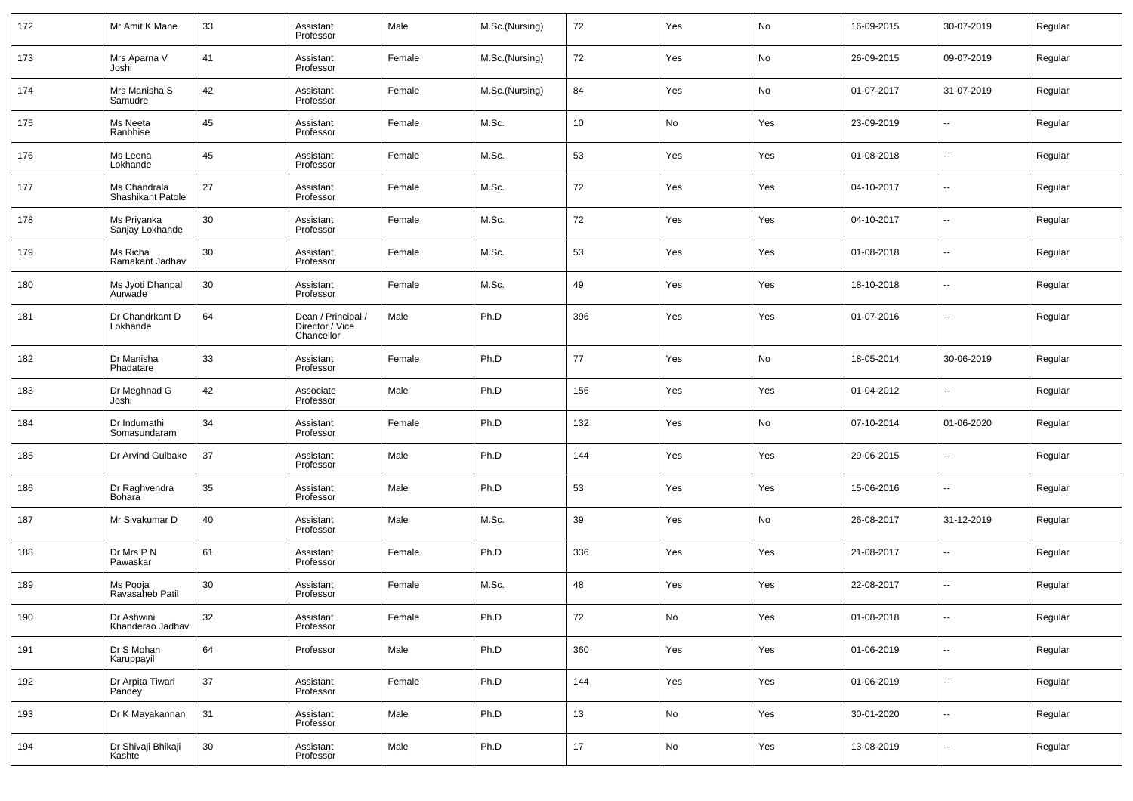| 172 | Mr Amit K Mane                    | 33     | Assistant<br>Professor                              | Male   | M.Sc.(Nursing) | 72              | Yes        | No  | 16-09-2015 | 30-07-2019               | Regular |
|-----|-----------------------------------|--------|-----------------------------------------------------|--------|----------------|-----------------|------------|-----|------------|--------------------------|---------|
| 173 | Mrs Aparna V<br>Joshi             | 41     | Assistant<br>Professor                              | Female | M.Sc.(Nursing) | 72              | Yes        | No  | 26-09-2015 | 09-07-2019               | Regular |
| 174 | Mrs Manisha S<br>Samudre          | 42     | Assistant<br>Professor                              | Female | M.Sc.(Nursing) | 84              | Yes        | No  | 01-07-2017 | 31-07-2019               | Regular |
| 175 | Ms Neeta<br>Ranbhise              | 45     | Assistant<br>Professor                              | Female | M.Sc.          | 10 <sup>1</sup> | No         | Yes | 23-09-2019 | $\overline{\phantom{a}}$ | Regular |
| 176 | Ms Leena<br>Lokhande              | 45     | Assistant<br>Professor                              | Female | M.Sc.          | 53              | Yes        | Yes | 01-08-2018 | --                       | Regular |
| 177 | Ms Chandrala<br>Shashikant Patole | 27     | Assistant<br>Professor                              | Female | M.Sc.          | 72              | Yes        | Yes | 04-10-2017 | ÷.                       | Regular |
| 178 | Ms Priyanka<br>Sanjay Lokhande    | 30     | Assistant<br>Professor                              | Female | M.Sc.          | 72              | Yes        | Yes | 04-10-2017 | --                       | Regular |
| 179 | Ms Richa<br>Ramakant Jadhav       | 30     | Assistant<br>Professor                              | Female | M.Sc.          | 53              | Yes        | Yes | 01-08-2018 | --                       | Regular |
| 180 | Ms Jyoti Dhanpal<br>Aurwade       | 30     | Assistant<br>Professor                              | Female | M.Sc.          | 49              | Yes        | Yes | 18-10-2018 | $\overline{\phantom{a}}$ | Regular |
| 181 | Dr Chandrkant D<br>Lokhande       | 64     | Dean / Principal /<br>Director / Vice<br>Chancellor | Male   | Ph.D           | 396             | Yes        | Yes | 01-07-2016 | --                       | Regular |
| 182 | Dr Manisha<br>Phadatare           | 33     | Assistant<br>Professor                              | Female | Ph.D           | 77              | Yes        | No  | 18-05-2014 | 30-06-2019               | Regular |
| 183 | Dr Meghnad G<br>Joshi             | 42     | Associate<br>Professor                              | Male   | Ph.D           | 156             | Yes        | Yes | 01-04-2012 | $\overline{\phantom{a}}$ | Regular |
| 184 | Dr Indumathi<br>Somasundaram      | 34     | Assistant<br>Professor                              | Female | Ph.D           | 132             | Yes        | No  | 07-10-2014 | 01-06-2020               | Regular |
| 185 | Dr Arvind Gulbake                 | 37     | Assistant<br>Professor                              | Male   | Ph.D           | 144             | Yes        | Yes | 29-06-2015 | $\overline{\phantom{a}}$ | Regular |
| 186 | Dr Raghvendra<br>Bohara           | 35     | Assistant<br>Professor                              | Male   | Ph.D           | 53              | Yes        | Yes | 15-06-2016 | $\overline{\phantom{a}}$ | Regular |
| 187 | Mr Sivakumar D                    | 40     | Assistant<br>Professor                              | Male   | M.Sc.          | 39              | Yes        | No  | 26-08-2017 | 31-12-2019               | Regular |
| 188 | Dr Mrs P N<br>Pawaskar            | 61     | Assistant<br>Professor                              | Female | Ph.D           | 336             | Yes        | Yes | 21-08-2017 | $\overline{\phantom{a}}$ | Regular |
| 189 | Ms Pooja<br>Ravasaheb Patil       | 30     | Assistant<br>Professor                              | Female | M.Sc.          | 48              | Yes        | Yes | 22-08-2017 | ÷.                       | Regular |
| 190 | Dr Ashwini<br>Khanderao Jadhav    | 32     | Assistant<br>Professor                              | Female | Ph.D           | 72              | No         | Yes | 01-08-2018 |                          | Regular |
| 191 | Dr S Mohan<br>Karuppayil          | 64     | Professor                                           | Male   | Ph.D           | 360             | Yes        | Yes | 01-06-2019 | Ξ.                       | Regular |
| 192 | Dr Arpita Tiwari<br>Pandey        | $37\,$ | Assistant<br>Professor                              | Female | Ph.D           | 144             | Yes        | Yes | 01-06-2019 | $\sim$                   | Regular |
| 193 | Dr K Mayakannan                   | 31     | Assistant<br>Professor                              | Male   | Ph.D           | 13              | No         | Yes | 30-01-2020 | Ξ.                       | Regular |
| 194 | Dr Shivaji Bhikaji<br>Kashte      | 30     | Assistant<br>Professor                              | Male   | Ph.D           | 17              | ${\sf No}$ | Yes | 13-08-2019 | н.                       | Regular |